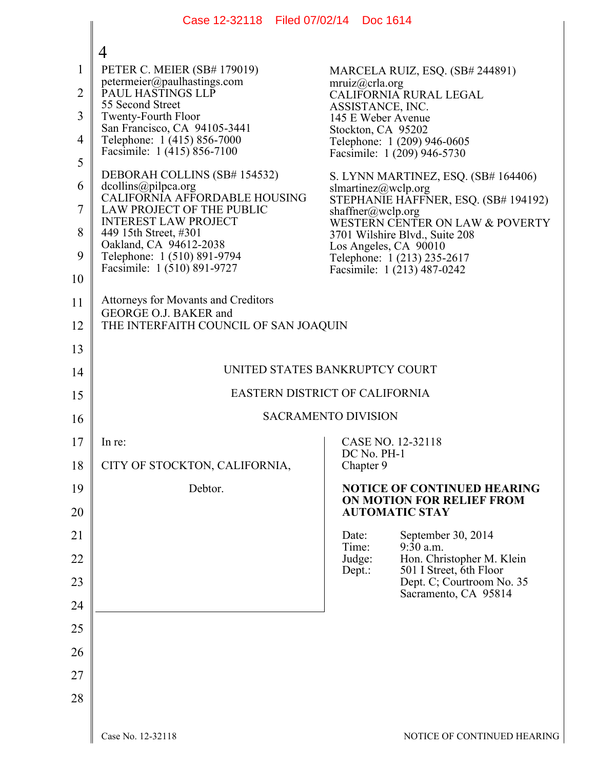|                | Case 12-32118   Filed 07/02/14   Doc 1614                      |                                                                   |  |  |
|----------------|----------------------------------------------------------------|-------------------------------------------------------------------|--|--|
|                | 4                                                              |                                                                   |  |  |
| 1              | PETER C. MEIER (SB# 179019)                                    | MARCELA RUIZ, ESQ. (SB# 244891)                                   |  |  |
| $\overline{2}$ | petermeier@paulhastings.com<br>PAUL HASTINGS LLP               | mruiz@crla.org<br>CALIFORNIA RURAL LEGAL                          |  |  |
| 3              | 55 Second Street<br>Twenty-Fourth Floor                        | ASSISTANCE, INC.<br>145 E Weber Avenue                            |  |  |
| 4              | San Francisco, CA 94105-3441<br>Telephone: 1 (415) 856-7000    | Stockton, CA 95202<br>Telephone: 1 (209) 946-0605                 |  |  |
| 5              | Facsimile: 1 (415) 856-7100                                    | Facsimile: 1 (209) 946-5730                                       |  |  |
| 6              | DEBORAH COLLINS (SB# 154532)<br>dcollins@pilpca.org            | S. LYNN MARTINEZ, ESQ. (SB# 164406)<br>slmartinez@wclp.org        |  |  |
| 7              | CALIFORNIA AFFORDABLE HOUSING<br>LAW PROJECT OF THE PUBLIC     | STEPHANIE HAFFNER, ESQ. (SB# 194192)<br>shaffner@wclp.org         |  |  |
| 8              | <b>INTEREST LAW PROJECT</b><br>449 15th Street, #301           | WESTERN CENTER ON LAW & POVERTY<br>3701 Wilshire Blvd., Suite 208 |  |  |
| 9              | Oakland, CA 94612-2038<br>Telephone: 1 (510) 891-9794          | Los Angeles, CA 90010<br>Telephone: 1 (213) 235-2617              |  |  |
| 10             | Facsimile: 1 (510) 891-9727                                    | Facsimile: 1 (213) 487-0242                                       |  |  |
| 11             | <b>Attorneys for Movants and Creditors</b>                     |                                                                   |  |  |
| 12             | GEORGE O.J. BAKER and<br>THE INTERFAITH COUNCIL OF SAN JOAQUIN |                                                                   |  |  |
| 13             |                                                                |                                                                   |  |  |
| 14             | UNITED STATES BANKRUPTCY COURT                                 |                                                                   |  |  |
| 15             | EASTERN DISTRICT OF CALIFORNIA                                 |                                                                   |  |  |
| 16             | <b>SACRAMENTO DIVISION</b>                                     |                                                                   |  |  |
| 17             | In re:                                                         | CASE NO. 12-32118                                                 |  |  |
| 18             | CITY OF STOCKTON, CALIFORNIA,                                  | DC No. PH-1<br>Chapter 9                                          |  |  |
| 19             | Debtor.                                                        | <b>NOTICE OF CONTINUED HEARING</b><br>ON MOTION FOR RELIEF FROM   |  |  |
| 20             |                                                                | <b>AUTOMATIC STAY</b>                                             |  |  |
| 21             |                                                                | September 30, 2014<br>Date:<br>$9:30$ a.m.                        |  |  |
| 22             |                                                                | Time:<br>Hon. Christopher M. Klein<br>Judge:                      |  |  |
| 23             |                                                                | 501 I Street, 6th Floor<br>Dept.:<br>Dept. C; Courtroom No. 35    |  |  |
| 24             |                                                                | Sacramento, CA 95814                                              |  |  |
| 25             |                                                                |                                                                   |  |  |
| 26             |                                                                |                                                                   |  |  |
| 27             |                                                                |                                                                   |  |  |
| 28             |                                                                |                                                                   |  |  |
|                |                                                                |                                                                   |  |  |
|                | Case No. 12-32118                                              | NOTICE OF CONTINUED HEARIN                                        |  |  |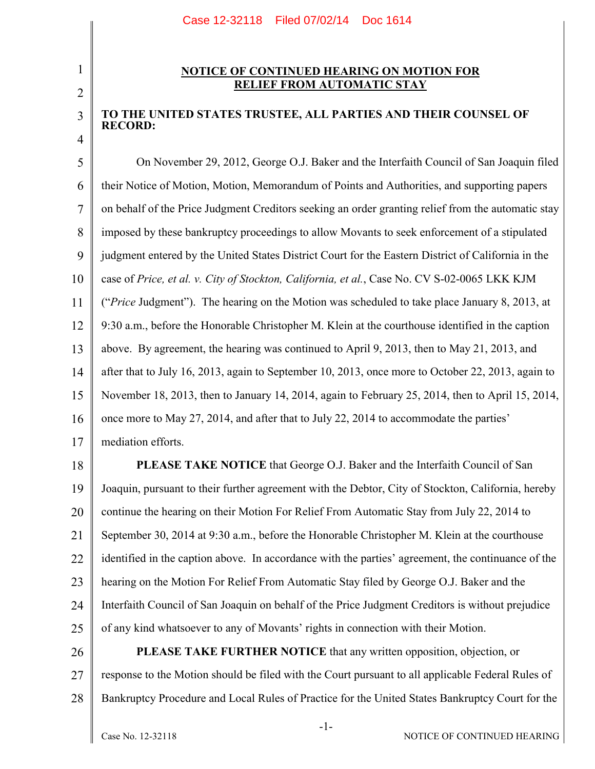## 2

3

4

1

## **NOTICE OF CONTINUED HEARING ON MOTION FOR RELIEF FROM AUTOMATIC STAY**

## **TO THE UNITED STATES TRUSTEE, ALL PARTIES AND THEIR COUNSEL OF RECORD:**

5 6 7 8 9 10 11 12 13 14 15 16 17 On November 29, 2012, George O.J. Baker and the Interfaith Council of San Joaquin filed their Notice of Motion, Motion, Memorandum of Points and Authorities, and supporting papers on behalf of the Price Judgment Creditors seeking an order granting relief from the automatic stay imposed by these bankruptcy proceedings to allow Movants to seek enforcement of a stipulated judgment entered by the United States District Court for the Eastern District of California in the case of *Price, et al. v. City of Stockton, California, et al.*, Case No. CV S-02-0065 LKK KJM ("*Price* Judgment"). The hearing on the Motion was scheduled to take place January 8, 2013, at 9:30 a.m., before the Honorable Christopher M. Klein at the courthouse identified in the caption above. By agreement, the hearing was continued to April 9, 2013, then to May 21, 2013, and after that to July 16, 2013, again to September 10, 2013, once more to October 22, 2013, again to November 18, 2013, then to January 14, 2014, again to February 25, 2014, then to April 15, 2014, once more to May 27, 2014, and after that to July 22, 2014 to accommodate the parties' mediation efforts.

18 19 20 21 22 23 24 25 **PLEASE TAKE NOTICE** that George O.J. Baker and the Interfaith Council of San Joaquin, pursuant to their further agreement with the Debtor, City of Stockton, California, hereby continue the hearing on their Motion For Relief From Automatic Stay from July 22, 2014 to September 30, 2014 at 9:30 a.m., before the Honorable Christopher M. Klein at the courthouse identified in the caption above. In accordance with the parties' agreement, the continuance of the hearing on the Motion For Relief From Automatic Stay filed by George O.J. Baker and the Interfaith Council of San Joaquin on behalf of the Price Judgment Creditors is without prejudice of any kind whatsoever to any of Movants' rights in connection with their Motion.

26 27 28 **PLEASE TAKE FURTHER NOTICE** that any written opposition, objection, or response to the Motion should be filed with the Court pursuant to all applicable Federal Rules of Bankruptcy Procedure and Local Rules of Practice for the United States Bankruptcy Court for the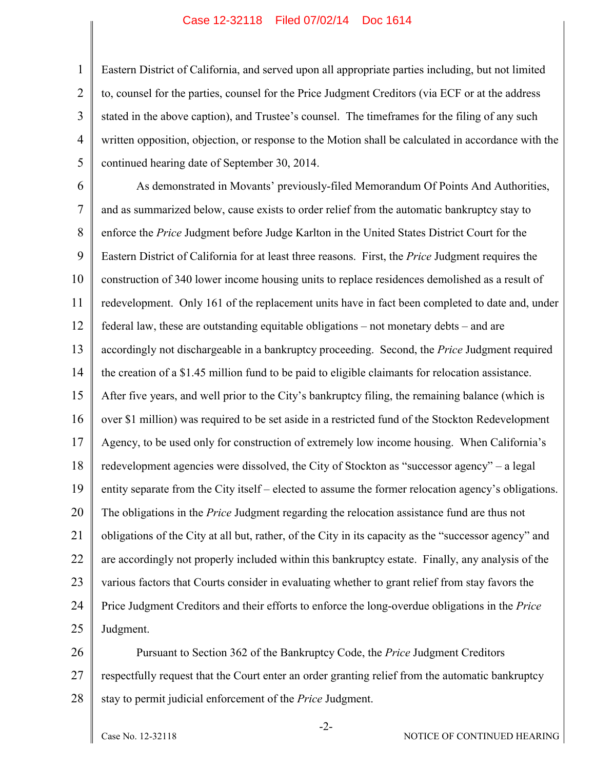## Case 12-32118 Filed 07/02/14 Doc 1614

Eastern District of California, and served upon all appropriate parties including, but not limited to, counsel for the parties, counsel for the Price Judgment Creditors (via ECF or at the address stated in the above caption), and Trustee's counsel. The timeframes for the filing of any such written opposition, objection, or response to the Motion shall be calculated in accordance with the continued hearing date of September 30, 2014.

6 7 8 9 10 11 12 13 14 15 16 17 18 19 20 21 22 23 24 25 As demonstrated in Movants' previously-filed Memorandum Of Points And Authorities, and as summarized below, cause exists to order relief from the automatic bankruptcy stay to enforce the *Price* Judgment before Judge Karlton in the United States District Court for the Eastern District of California for at least three reasons. First, the *Price* Judgment requires the construction of 340 lower income housing units to replace residences demolished as a result of redevelopment. Only 161 of the replacement units have in fact been completed to date and, under federal law, these are outstanding equitable obligations – not monetary debts – and are accordingly not dischargeable in a bankruptcy proceeding. Second, the *Price* Judgment required the creation of a \$1.45 million fund to be paid to eligible claimants for relocation assistance. After five years, and well prior to the City's bankruptcy filing, the remaining balance (which is over \$1 million) was required to be set aside in a restricted fund of the Stockton Redevelopment Agency, to be used only for construction of extremely low income housing. When California's redevelopment agencies were dissolved, the City of Stockton as "successor agency" – a legal entity separate from the City itself – elected to assume the former relocation agency's obligations. The obligations in the *Price* Judgment regarding the relocation assistance fund are thus not obligations of the City at all but, rather, of the City in its capacity as the "successor agency" and are accordingly not properly included within this bankruptcy estate. Finally, any analysis of the various factors that Courts consider in evaluating whether to grant relief from stay favors the Price Judgment Creditors and their efforts to enforce the long-overdue obligations in the *Price* Judgment.

26 27 28 Pursuant to Section 362 of the Bankruptcy Code, the *Price* Judgment Creditors respectfully request that the Court enter an order granting relief from the automatic bankruptcy stay to permit judicial enforcement of the *Price* Judgment.

1

2

3

4

5

-2-